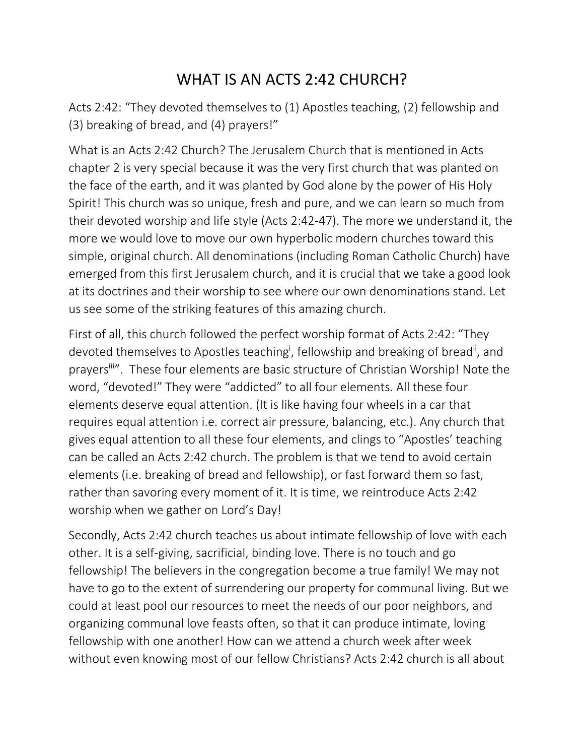## WHAT IS AN ACTS 2:42 CHURCH?

Acts 2:42: "They devoted themselves to (1) Apostles teaching, (2) fellowship and (3) breaking of bread, and (4) prayers!"

What is an Acts 2:42 Church? The Jerusalem Church that is mentioned in Acts chapter 2 is very special because it was the very first church that was planted on the face of the earth, and it was planted by God alone by the power of His Holy Spirit! This church was so unique, fresh and pure, and we can learn so much from their devoted worship and life style (Acts 2:42-47). The more we understand it, the more we would love to move our own hyperbolic modern churches toward this simple, original church. All denominations (including Roman Catholic Church) have emerged from this first Jerusalem church, and it is crucial that we take a good look at its doctrines and their worship to see where our own denominations stand. Let us see some of the striking features of this amazing church.

First of all, this church followed the perfect worship format of Acts 2:42: "They devoted themselves to Apostles teaching<sup>i</sup>, fellowship and breaking of bread<sup>ii</sup>, and prayers<sup>iii</sup>". These four elements are basic structure of Christian Worship! Note the word, "devoted!" They were "addicted" to all four elements. All these four elements deserve equal attention. (It is like having four wheels in a car that requires equal attention i.e. correct air pressure, balancing, etc.). Any church that gives equal attention to all these four elements, and clings to "Apostles' teaching can be called an Acts 2:42 church. The problem is that we tend to avoid certain elements (i.e. breaking of bread and fellowship), or fast forward them so fast, rather than savoring every moment of it. It is time, we reintroduce Acts 2:42 worship when we gather on Lord's Day!

Secondly, Acts 2:42 church teaches us about intimate fellowship of love with each other. It is a self-giving, sacrificial, binding love. There is no touch and go fellowship! The believers in the congregation become a true family! We may not have to go to the extent of surrendering our property for communal living. But we could at least pool our resources to meet the needs of our poor neighbors, and organizing communal love feasts often, so that it can produce intimate, loving fellowship with one another! How can we attend a church week after week without even knowing most of our fellow Christians? Acts 2:42 church is all about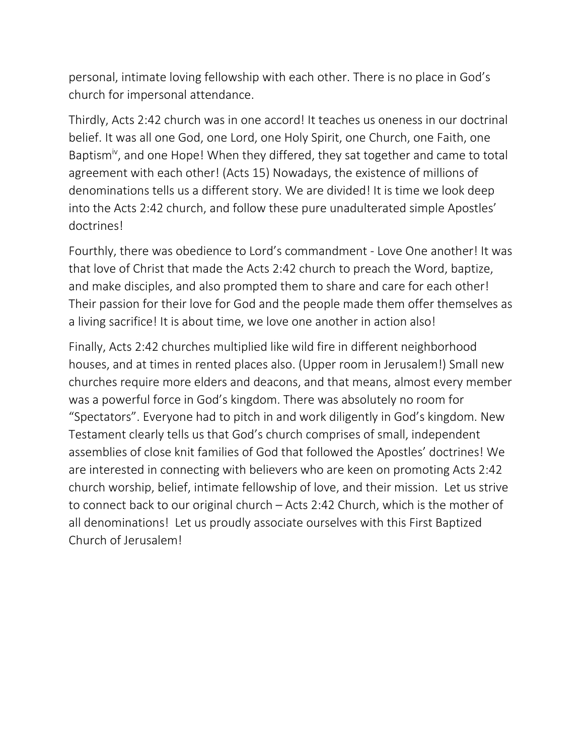personal, intimate loving fellowship with each other. There is no place in God's church for impersonal attendance.

Thirdly, Acts 2:42 church was in one accord! It teaches us oneness in our doctrinal belief. It was all one God, one Lord, one Holy Spirit, one Church, one Faith, one Baptism<sup>iv</sup>, and one Hope! When they differed, they sat together and came to total agreement with each other! (Acts 15) Nowadays, the existence of millions of denominations tells us a different story. We are divided! It is time we look deep into the Acts 2:42 church, and follow these pure unadulterated simple Apostles' doctrines!

Fourthly, there was obedience to Lord's commandment - Love One another! It was that love of Christ that made the Acts 2:42 church to preach the Word, baptize, and make disciples, and also prompted them to share and care for each other! Their passion for their love for God and the people made them offer themselves as a living sacrifice! It is about time, we love one another in action also!

Finally, Acts 2:42 churches multiplied like wild fire in different neighborhood houses, and at times in rented places also. (Upper room in Jerusalem!) Small new churches require more elders and deacons, and that means, almost every member was a powerful force in God's kingdom. There was absolutely no room for "Spectators". Everyone had to pitch in and work diligently in God's kingdom. New Testament clearly tells us that God's church comprises of small, independent assemblies of close knit families of God that followed the Apostles' doctrines! We are interested in connecting with believers who are keen on promoting Acts 2:42 church worship, belief, intimate fellowship of love, and their mission. Let us strive to connect back to our original church – Acts 2:42 Church, which is the mother of all denominations! Let us proudly associate ourselves with this First Baptized Church of Jerusalem!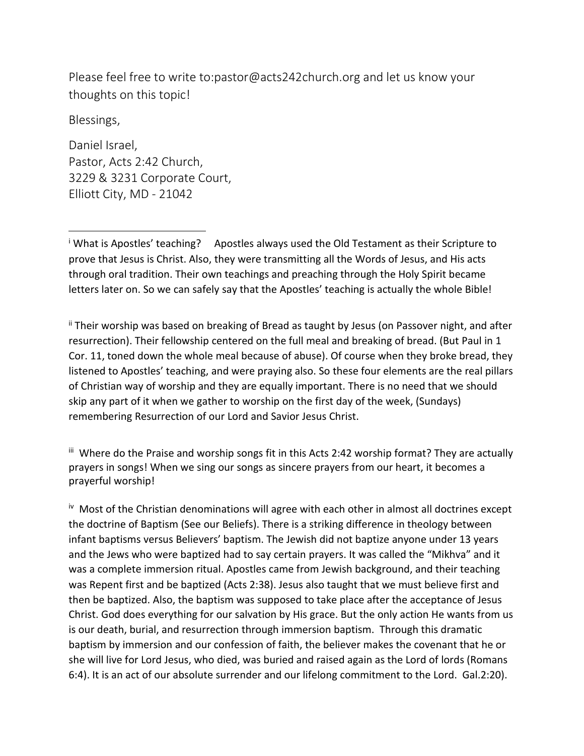Please feel free to write to:pastor@acts242church.org and let us know your thoughts on this topic!

Blessings,

 $\overline{a}$ 

Daniel Israel, Pastor, Acts 2:42 Church, 3229 & 3231 Corporate Court, Elliott City, MD - 21042

<sup>i</sup> What is Apostles' teaching? Apostles always used the Old Testament as their Scripture to prove that Jesus is Christ. Also, they were transmitting all the Words of Jesus, and His acts through oral tradition. Their own teachings and preaching through the Holy Spirit became letters later on. So we can safely say that the Apostles' teaching is actually the whole Bible!

ii Their worship was based on breaking of Bread as taught by Jesus (on Passover night, and after resurrection). Their fellowship centered on the full meal and breaking of bread. (But Paul in 1 Cor. 11, toned down the whole meal because of abuse). Of course when they broke bread, they listened to Apostles' teaching, and were praying also. So these four elements are the real pillars of Christian way of worship and they are equally important. There is no need that we should skip any part of it when we gather to worship on the first day of the week, (Sundays) remembering Resurrection of our Lord and Savior Jesus Christ.

 $\mathbf i$  Where do the Praise and worship songs fit in this Acts 2:42 worship format? They are actually prayers in songs! When we sing our songs as sincere prayers from our heart, it becomes a prayerful worship!

<sup>iv</sup> Most of the Christian denominations will agree with each other in almost all doctrines except the doctrine of Baptism (See our Beliefs). There is a striking difference in theology between infant baptisms versus Believers' baptism. The Jewish did not baptize anyone under 13 years and the Jews who were baptized had to say certain prayers. It was called the "Mikhva" and it was a complete immersion ritual. Apostles came from Jewish background, and their teaching was Repent first and be baptized (Acts 2:38). Jesus also taught that we must believe first and then be baptized. Also, the baptism was supposed to take place after the acceptance of Jesus Christ. God does everything for our salvation by His grace. But the only action He wants from us is our death, burial, and resurrection through immersion baptism. Through this dramatic baptism by immersion and our confession of faith, the believer makes the covenant that he or she will live for Lord Jesus, who died, was buried and raised again as the Lord of lords (Romans 6:4). It is an act of our absolute surrender and our lifelong commitment to the Lord. Gal.2:20).